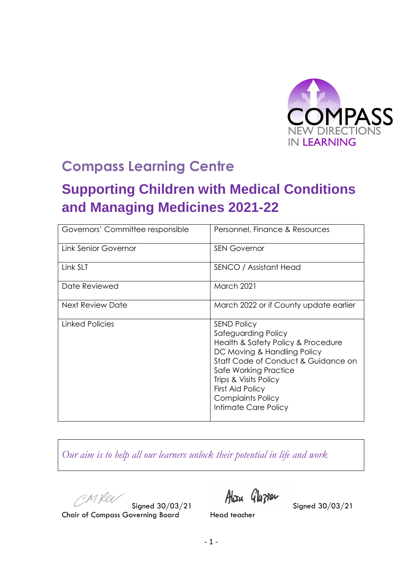

## **Compass Learning Centre**

# **Supporting Children with Medical Conditions and Managing Medicines 2021-22**

| Governors' Committee responsible | Personnel, Finance & Resources                                                                                                                                                                                                                                                  |  |  |
|----------------------------------|---------------------------------------------------------------------------------------------------------------------------------------------------------------------------------------------------------------------------------------------------------------------------------|--|--|
| Link Senior Governor             | <b>SEN Governor</b>                                                                                                                                                                                                                                                             |  |  |
| Link SLT                         | SENCO / Assistant Head                                                                                                                                                                                                                                                          |  |  |
| Date Reviewed                    | <b>March 2021</b>                                                                                                                                                                                                                                                               |  |  |
| Next Review Date                 | March 2022 or if County update earlier                                                                                                                                                                                                                                          |  |  |
| Linked Policies                  | <b>SEND Policy</b><br>Safeguarding Policy<br>Health & Safety Policy & Procedure<br>DC Moving & Handling Policy<br>Staff Code of Conduct & Guidance on<br>Safe Working Practice<br>Trips & Visits Policy<br>First Aid Policy<br><b>Complaints Policy</b><br>Intimate Care Policy |  |  |

*Our aim is to help all our learners unlock their potential in life and work*

CMRee

Signed 30/03/21  $\frac{\text{Max}}{\text{2}}$  Signed 30/03/21

Chair of Compass Governing Board Head teacher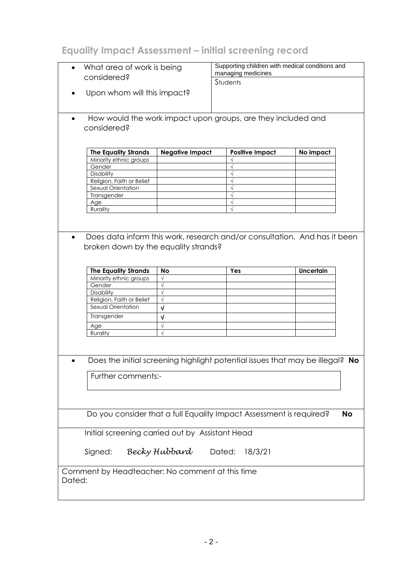### **Equality Impact Assessment – initial screening record**

| What area of work is being                      |                                                                               | Supporting children with medical conditions and |                    |                        |                  |           |  |
|-------------------------------------------------|-------------------------------------------------------------------------------|-------------------------------------------------|--------------------|------------------------|------------------|-----------|--|
|                                                 | considered?                                                                   |                                                 | managing medicines |                        |                  |           |  |
|                                                 |                                                                               |                                                 |                    | <b>Students</b>        |                  |           |  |
|                                                 | Upon whom will this impact?                                                   |                                                 |                    |                        |                  |           |  |
|                                                 |                                                                               |                                                 |                    |                        |                  |           |  |
|                                                 |                                                                               |                                                 |                    |                        |                  |           |  |
| ٠                                               | How would the work impact upon groups, are they included and                  |                                                 |                    |                        |                  |           |  |
|                                                 |                                                                               |                                                 |                    |                        |                  |           |  |
|                                                 | considered?                                                                   |                                                 |                    |                        |                  |           |  |
|                                                 |                                                                               |                                                 |                    |                        |                  |           |  |
|                                                 |                                                                               |                                                 |                    |                        |                  |           |  |
|                                                 | <b>The Equality Strands</b><br>Minority ethnic groups                         | <b>Negative Impact</b>                          |                    | <b>Positive Impact</b> | No impact        |           |  |
|                                                 | Gender                                                                        |                                                 |                    |                        |                  |           |  |
|                                                 | Disability                                                                    |                                                 |                    | $\sqrt{}$              |                  |           |  |
|                                                 | Religion, Faith or Belief                                                     |                                                 |                    | $\sqrt{}$              |                  |           |  |
|                                                 | Sexual Orientation                                                            |                                                 |                    | $\sqrt{}$              |                  |           |  |
|                                                 | Transgender                                                                   |                                                 |                    | $\sqrt{ }$             |                  |           |  |
|                                                 | Age                                                                           |                                                 |                    | $\sqrt{}$              |                  |           |  |
|                                                 | Rurality                                                                      |                                                 |                    | $\sqrt{ }$             |                  |           |  |
|                                                 |                                                                               |                                                 |                    |                        |                  |           |  |
|                                                 |                                                                               |                                                 |                    |                        |                  |           |  |
| ٠                                               | Does data inform this work, research and/or consultation. And has it been     |                                                 |                    |                        |                  |           |  |
|                                                 |                                                                               |                                                 |                    |                        |                  |           |  |
|                                                 | broken down by the equality strands?                                          |                                                 |                    |                        |                  |           |  |
|                                                 |                                                                               |                                                 |                    |                        |                  |           |  |
|                                                 |                                                                               |                                                 |                    |                        |                  |           |  |
|                                                 | <b>The Equality Strands</b>                                                   | <b>No</b>                                       |                    | Yes                    | <b>Uncertain</b> |           |  |
|                                                 | Minority ethnic groups                                                        | $\sqrt{}$                                       |                    |                        |                  |           |  |
|                                                 | Gender                                                                        | $\sqrt{}$                                       |                    |                        |                  |           |  |
|                                                 | Disability<br>Religion, Faith or Belief                                       | $\sqrt{}$                                       |                    |                        |                  |           |  |
|                                                 | Sexual Orientation                                                            | v                                               |                    |                        |                  |           |  |
|                                                 |                                                                               |                                                 |                    |                        |                  |           |  |
|                                                 | Transgender                                                                   | $\sqrt{ }$                                      |                    |                        |                  |           |  |
|                                                 | Age                                                                           | $\sqrt{}$                                       |                    |                        |                  |           |  |
|                                                 | Rurality                                                                      | $\sqrt{ }$                                      |                    |                        |                  |           |  |
|                                                 |                                                                               |                                                 |                    |                        |                  |           |  |
|                                                 |                                                                               |                                                 |                    |                        |                  |           |  |
|                                                 | Does the initial screening highlight potential issues that may be illegal? No |                                                 |                    |                        |                  |           |  |
|                                                 |                                                                               |                                                 |                    |                        |                  |           |  |
|                                                 | Further comments:-                                                            |                                                 |                    |                        |                  |           |  |
|                                                 |                                                                               |                                                 |                    |                        |                  |           |  |
|                                                 |                                                                               |                                                 |                    |                        |                  |           |  |
|                                                 |                                                                               |                                                 |                    |                        |                  |           |  |
|                                                 |                                                                               |                                                 |                    |                        |                  |           |  |
|                                                 | Do you consider that a full Equality Impact Assessment is required?           |                                                 |                    |                        |                  | <b>No</b> |  |
|                                                 |                                                                               |                                                 |                    |                        |                  |           |  |
| Initial screening carried out by Assistant Head |                                                                               |                                                 |                    |                        |                  |           |  |
|                                                 |                                                                               |                                                 |                    |                        |                  |           |  |
|                                                 |                                                                               |                                                 |                    |                        |                  |           |  |
| Becky Hubbard<br>Dated: 18/3/21<br>Signed:      |                                                                               |                                                 |                    |                        |                  |           |  |
|                                                 |                                                                               |                                                 |                    |                        |                  |           |  |
|                                                 | Comment by Headteacher: No comment at this time                               |                                                 |                    |                        |                  |           |  |
| Dated:                                          |                                                                               |                                                 |                    |                        |                  |           |  |
|                                                 |                                                                               |                                                 |                    |                        |                  |           |  |
|                                                 |                                                                               |                                                 |                    |                        |                  |           |  |
|                                                 |                                                                               |                                                 |                    |                        |                  |           |  |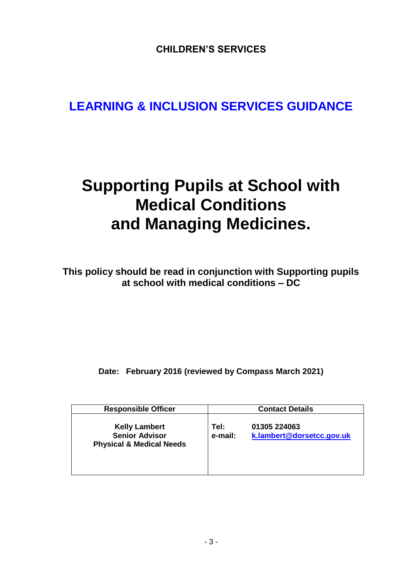**CHILDREN'S SERVICES**

## **LEARNING & INCLUSION SERVICES GUIDANCE**

# **Supporting Pupils at School with Medical Conditions and Managing Medicines.**

**This policy should be read in conjunction with Supporting pupils at school with medical conditions – DC**

**Date: February 2016 (reviewed by Compass March 2021)**

| <b>Responsible Officer</b>                                                           | <b>Contact Details</b> |                                           |  |
|--------------------------------------------------------------------------------------|------------------------|-------------------------------------------|--|
| <b>Kelly Lambert</b><br><b>Senior Advisor</b><br><b>Physical &amp; Medical Needs</b> | Tel:<br>e-mail:        | 01305 224063<br>k.lambert@dorsetcc.gov.uk |  |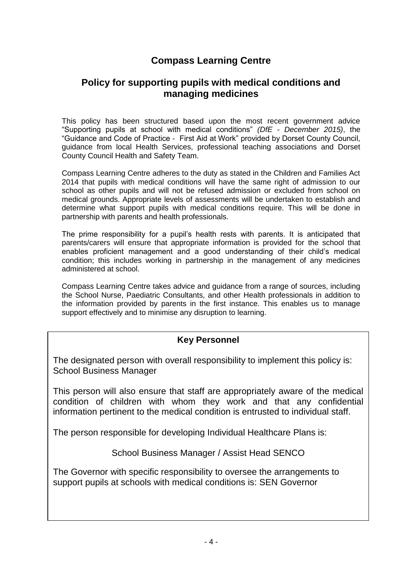### **Compass Learning Centre**

### **Policy for supporting pupils with medical conditions and managing medicines**

This policy has been structured based upon the most recent government advice "Supporting pupils at school with medical conditions" *(DfE - December 2015)*, the "Guidance and Code of Practice - First Aid at Work" provided by Dorset County Council, guidance from local Health Services, professional teaching associations and Dorset County Council Health and Safety Team.

Compass Learning Centre adheres to the duty as stated in the Children and Families Act 2014 that pupils with medical conditions will have the same right of admission to our school as other pupils and will not be refused admission or excluded from school on medical grounds. Appropriate levels of assessments will be undertaken to establish and determine what support pupils with medical conditions require. This will be done in partnership with parents and health professionals.

The prime responsibility for a pupil's health rests with parents. It is anticipated that parents/carers will ensure that appropriate information is provided for the school that enables proficient management and a good understanding of their child's medical condition; this includes working in partnership in the management of any medicines administered at school.

Compass Learning Centre takes advice and guidance from a range of sources, including the School Nurse, Paediatric Consultants, and other Health professionals in addition to the information provided by parents in the first instance. This enables us to manage support effectively and to minimise any disruption to learning.

#### **Key Personnel**

The designated person with overall responsibility to implement this policy is: School Business Manager

This person will also ensure that staff are appropriately aware of the medical condition of children with whom they work and that any confidential information pertinent to the medical condition is entrusted to individual staff.

The person responsible for developing Individual Healthcare Plans is:

School Business Manager / Assist Head SENCO

The Governor with specific responsibility to oversee the arrangements to support pupils at schools with medical conditions is: SEN Governor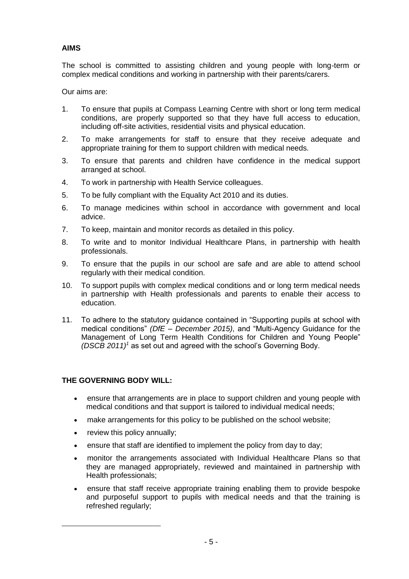#### **AIMS**

The school is committed to assisting children and young people with long-term or complex medical conditions and working in partnership with their parents/carers.

Our aims are:

- 1. To ensure that pupils at Compass Learning Centre with short or long term medical conditions, are properly supported so that they have full access to education, including off-site activities, residential visits and physical education.
- 2. To make arrangements for staff to ensure that they receive adequate and appropriate training for them to support children with medical needs.
- 3. To ensure that parents and children have confidence in the medical support arranged at school.
- 4. To work in partnership with Health Service colleagues.
- 5. To be fully compliant with the Equality Act 2010 and its duties.
- 6. To manage medicines within school in accordance with government and local advice.
- 7. To keep, maintain and monitor records as detailed in this policy.
- 8. To write and to monitor Individual Healthcare Plans, in partnership with health professionals.
- 9. To ensure that the pupils in our school are safe and are able to attend school regularly with their medical condition.
- 10. To support pupils with complex medical conditions and or long term medical needs in partnership with Health professionals and parents to enable their access to education.
- 11. To adhere to the statutory guidance contained in "Supporting pupils at school with medical conditions" *(DfE – December 2015)*, and "Multi-Agency Guidance for the Management of Long Term Health Conditions for Children and Young People" *(DSCB 2011)<sup>1</sup>* as set out and agreed with the school's Governing Body.

#### **THE GOVERNING BODY WILL:**

- ensure that arrangements are in place to support children and young people with medical conditions and that support is tailored to individual medical needs;
- make arrangements for this policy to be published on the school website;
- review this policy annually;

-

- ensure that staff are identified to implement the policy from day to day;
- monitor the arrangements associated with Individual Healthcare Plans so that they are managed appropriately, reviewed and maintained in partnership with Health professionals;
- ensure that staff receive appropriate training enabling them to provide bespoke and purposeful support to pupils with medical needs and that the training is refreshed regularly;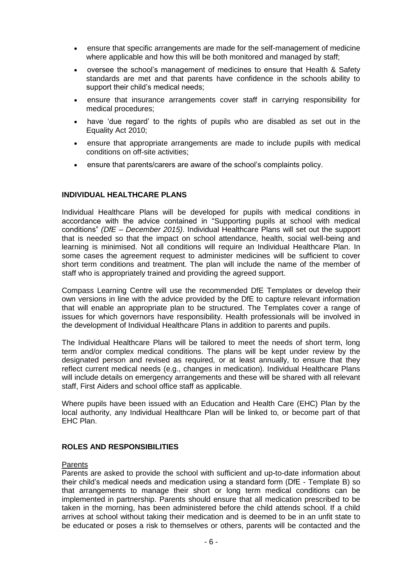- ensure that specific arrangements are made for the self-management of medicine where applicable and how this will be both monitored and managed by staff;
- oversee the school's management of medicines to ensure that Health & Safety standards are met and that parents have confidence in the schools ability to support their child's medical needs;
- ensure that insurance arrangements cover staff in carrying responsibility for medical procedures;
- have 'due regard' to the rights of pupils who are disabled as set out in the Equality Act 2010;
- ensure that appropriate arrangements are made to include pupils with medical conditions on off-site activities;
- ensure that parents/carers are aware of the school's complaints policy.

#### **INDIVIDUAL HEALTHCARE PLANS**

Individual Healthcare Plans will be developed for pupils with medical conditions in accordance with the advice contained in "Supporting pupils at school with medical conditions" *(DfE – December 2015)*. Individual Healthcare Plans will set out the support that is needed so that the impact on school attendance, health, social well-being and learning is minimised. Not all conditions will require an Individual Healthcare Plan. In some cases the agreement request to administer medicines will be sufficient to cover short term conditions and treatment. The plan will include the name of the member of staff who is appropriately trained and providing the agreed support.

Compass Learning Centre will use the recommended DfE Templates or develop their own versions in line with the advice provided by the DfE to capture relevant information that will enable an appropriate plan to be structured. The Templates cover a range of issues for which governors have responsibility. Health professionals will be involved in the development of Individual Healthcare Plans in addition to parents and pupils.

The Individual Healthcare Plans will be tailored to meet the needs of short term, long term and/or complex medical conditions. The plans will be kept under review by the designated person and revised as required, or at least annually, to ensure that they reflect current medical needs (e.g., changes in medication). Individual Healthcare Plans will include details on emergency arrangements and these will be shared with all relevant staff, First Aiders and school office staff as applicable.

Where pupils have been issued with an Education and Health Care (EHC) Plan by the local authority, any Individual Healthcare Plan will be linked to, or become part of that EHC Plan.

#### **ROLES AND RESPONSIBILITIES**

#### **Parents**

Parents are asked to provide the school with sufficient and up-to-date information about their child's medical needs and medication using a standard form (DfE - Template B) so that arrangements to manage their short or long term medical conditions can be implemented in partnership. Parents should ensure that all medication prescribed to be taken in the morning, has been administered before the child attends school. If a child arrives at school without taking their medication and is deemed to be in an unfit state to be educated or poses a risk to themselves or others, parents will be contacted and the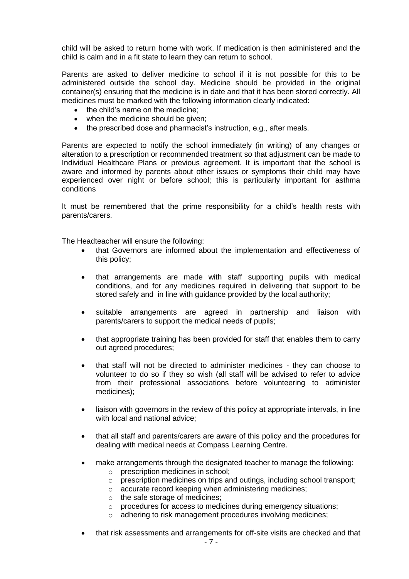child will be asked to return home with work. If medication is then administered and the child is calm and in a fit state to learn they can return to school.

Parents are asked to deliver medicine to school if it is not possible for this to be administered outside the school day. Medicine should be provided in the original container(s) ensuring that the medicine is in date and that it has been stored correctly. All medicines must be marked with the following information clearly indicated:

- the child's name on the medicine;
- when the medicine should be given;
- the prescribed dose and pharmacist's instruction, e.g., after meals.

Parents are expected to notify the school immediately (in writing) of any changes or alteration to a prescription or recommended treatment so that adjustment can be made to Individual Healthcare Plans or previous agreement. It is important that the school is aware and informed by parents about other issues or symptoms their child may have experienced over night or before school; this is particularly important for asthma conditions

It must be remembered that the prime responsibility for a child's health rests with parents/carers.

The Headteacher will ensure the following:

- that Governors are informed about the implementation and effectiveness of this policy;
- that arrangements are made with staff supporting pupils with medical conditions, and for any medicines required in delivering that support to be stored safely and in line with guidance provided by the local authority;
- suitable arrangements are agreed in partnership and liaison with parents/carers to support the medical needs of pupils;
- that appropriate training has been provided for staff that enables them to carry out agreed procedures;
- that staff will not be directed to administer medicines they can choose to volunteer to do so if they so wish (all staff will be advised to refer to advice from their professional associations before volunteering to administer medicines);
- liaison with governors in the review of this policy at appropriate intervals, in line with local and national advice:
- that all staff and parents/carers are aware of this policy and the procedures for dealing with medical needs at Compass Learning Centre.
- make arrangements through the designated teacher to manage the following:
	- o prescription medicines in school;
	- o prescription medicines on trips and outings, including school transport;
	- o accurate record keeping when administering medicines;
	- o the safe storage of medicines;
	- o procedures for access to medicines during emergency situations;
	- o adhering to risk management procedures involving medicines;
- that risk assessments and arrangements for off-site visits are checked and that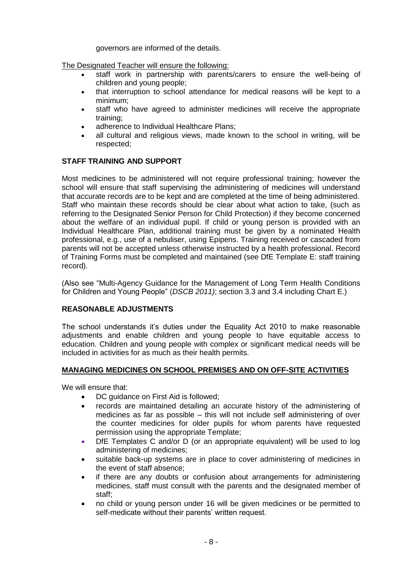governors are informed of the details.

The Designated Teacher will ensure the following:

- staff work in partnership with parents/carers to ensure the well-being of children and young people;
- that interruption to school attendance for medical reasons will be kept to a minimum;
- staff who have agreed to administer medicines will receive the appropriate training;
- adherence to Individual Healthcare Plans;
- all cultural and religious views, made known to the school in writing, will be respected;

#### **STAFF TRAINING AND SUPPORT**

Most medicines to be administered will not require professional training; however the school will ensure that staff supervising the administering of medicines will understand that accurate records are to be kept and are completed at the time of being administered. Staff who maintain these records should be clear about what action to take, (such as referring to the Designated Senior Person for Child Protection) if they become concerned about the welfare of an individual pupil. If child or young person is provided with an Individual Healthcare Plan, additional training must be given by a nominated Health professional, e.g., use of a nebuliser, using Epipens. Training received or cascaded from parents will not be accepted unless otherwise instructed by a health professional. Record of Training Forms must be completed and maintained (see DfE Template E: staff training record).

(Also see "Multi-Agency Guidance for the Management of Long Term Health Conditions for Children and Young People" (*DSCB 2011)*; section 3.3 and 3.4 including Chart E.)

#### **REASONABLE ADJUSTMENTS**

The school understands it's duties under the Equality Act 2010 to make reasonable adjustments and enable children and young people to have equitable access to education. Children and young people with complex or significant medical needs will be included in activities for as much as their health permits.

#### **MANAGING MEDICINES ON SCHOOL PREMISES AND ON OFF-SITE ACTIVITIES**

We will ensure that:

- DC quidance on First Aid is followed:
- records are maintained detailing an accurate history of the administering of medicines as far as possible – this will not include self administering of over the counter medicines for older pupils for whom parents have requested permission using the appropriate Template;
- DfE Templates C and/or D (or an appropriate equivalent) will be used to log administering of medicines;
- suitable back-up systems are in place to cover administering of medicines in the event of staff absence;
- if there are any doubts or confusion about arrangements for administering medicines, staff must consult with the parents and the designated member of staff;
- no child or young person under 16 will be given medicines or be permitted to self-medicate without their parents' written request.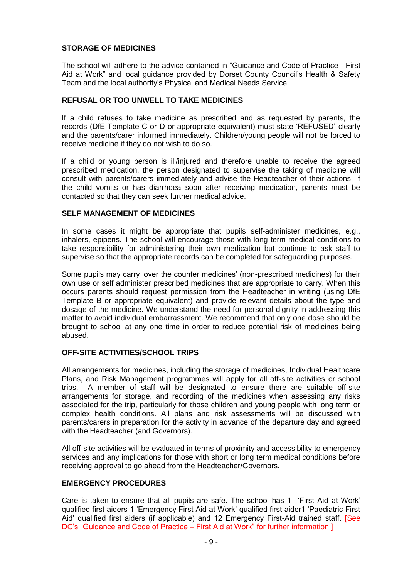#### **STORAGE OF MEDICINES**

The school will adhere to the advice contained in "Guidance and Code of Practice - First Aid at Work" and local guidance provided by Dorset County Council's Health & Safety Team and the local authority's Physical and Medical Needs Service.

#### **REFUSAL OR TOO UNWELL TO TAKE MEDICINES**

If a child refuses to take medicine as prescribed and as requested by parents, the records (DfE Template C or D or appropriate equivalent) must state 'REFUSED' clearly and the parents/carer informed immediately. Children/young people will not be forced to receive medicine if they do not wish to do so.

If a child or young person is ill/injured and therefore unable to receive the agreed prescribed medication, the person designated to supervise the taking of medicine will consult with parents/carers immediately and advise the Headteacher of their actions. If the child vomits or has diarrhoea soon after receiving medication, parents must be contacted so that they can seek further medical advice.

#### **SELF MANAGEMENT OF MEDICINES**

In some cases it might be appropriate that pupils self-administer medicines, e.g., inhalers, epipens. The school will encourage those with long term medical conditions to take responsibility for administering their own medication but continue to ask staff to supervise so that the appropriate records can be completed for safeguarding purposes.

Some pupils may carry 'over the counter medicines' (non-prescribed medicines) for their own use or self administer prescribed medicines that are appropriate to carry. When this occurs parents should request permission from the Headteacher in writing (using DfE Template B or appropriate equivalent) and provide relevant details about the type and dosage of the medicine. We understand the need for personal dignity in addressing this matter to avoid individual embarrassment. We recommend that only one dose should be brought to school at any one time in order to reduce potential risk of medicines being abused.

#### **OFF-SITE ACTIVITIES/SCHOOL TRIPS**

All arrangements for medicines, including the storage of medicines, Individual Healthcare Plans, and Risk Management programmes will apply for all off-site activities or school trips. A member of staff will be designated to ensure there are suitable off-site arrangements for storage, and recording of the medicines when assessing any risks associated for the trip, particularly for those children and young people with long term or complex health conditions. All plans and risk assessments will be discussed with parents/carers in preparation for the activity in advance of the departure day and agreed with the Headteacher (and Governors).

All off-site activities will be evaluated in terms of proximity and accessibility to emergency services and any implications for those with short or long term medical conditions before receiving approval to go ahead from the Headteacher/Governors.

#### **EMERGENCY PROCEDURES**

Care is taken to ensure that all pupils are safe. The school has 1 'First Aid at Work' qualified first aiders 1 'Emergency First Aid at Work' qualified first aider1 'Paediatric First Aid' qualified first aiders (if applicable) and 12 Emergency First-Aid trained staff. [See DC's "Guidance and Code of Practice – First Aid at Work" for further information.]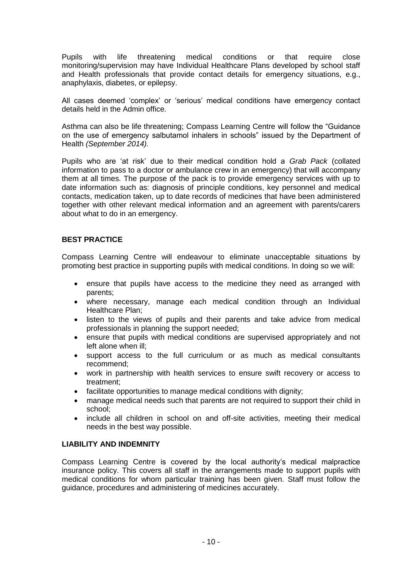Pupils with life threatening medical conditions or that require close monitoring/supervision may have Individual Healthcare Plans developed by school staff and Health professionals that provide contact details for emergency situations, e.g., anaphylaxis, diabetes, or epilepsy.

All cases deemed 'complex' or 'serious' medical conditions have emergency contact details held in the Admin office.

Asthma can also be life threatening; Compass Learning Centre will follow the "Guidance on the use of emergency salbutamol inhalers in schools" issued by the Department of Health *(September 2014).*

Pupils who are 'at risk' due to their medical condition hold a *Grab Pack* (collated information to pass to a doctor or ambulance crew in an emergency) that will accompany them at all times. The purpose of the pack is to provide emergency services with up to date information such as: diagnosis of principle conditions, key personnel and medical contacts, medication taken, up to date records of medicines that have been administered together with other relevant medical information and an agreement with parents/carers about what to do in an emergency.

#### **BEST PRACTICE**

Compass Learning Centre will endeavour to eliminate unacceptable situations by promoting best practice in supporting pupils with medical conditions. In doing so we will:

- ensure that pupils have access to the medicine they need as arranged with parents;
- where necessary, manage each medical condition through an Individual Healthcare Plan;
- listen to the views of pupils and their parents and take advice from medical professionals in planning the support needed;
- ensure that pupils with medical conditions are supervised appropriately and not left alone when ill;
- support access to the full curriculum or as much as medical consultants recommend;
- work in partnership with health services to ensure swift recovery or access to treatment;
- facilitate opportunities to manage medical conditions with dignity;
- manage medical needs such that parents are not required to support their child in school;
- include all children in school on and off-site activities, meeting their medical needs in the best way possible.

#### **LIABILITY AND INDEMNITY**

Compass Learning Centre is covered by the local authority's medical malpractice insurance policy. This covers all staff in the arrangements made to support pupils with medical conditions for whom particular training has been given. Staff must follow the guidance, procedures and administering of medicines accurately.